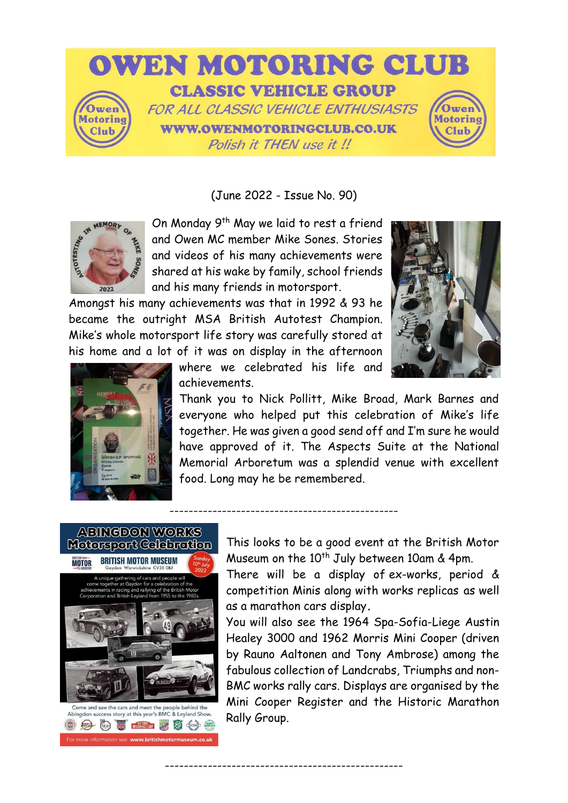

(June 2022 - Issue No. 90)



On Monday 9<sup>th</sup> May we laid to rest a friend and Owen MC member Mike Sones. Stories and videos of his many achievements were shared at his wake by family, school friends and his many friends in motorsport.

Amongst his many achievements was that in 1992 & 93 he became the outright MSA British Autotest Champion. Mike's whole motorsport life story was carefully stored at his home and a lot of it was on display in the afternoon





where we celebrated his life and achievements.

------------------------------------------------

--------------------------------------------------

Thank you to Nick Pollitt, Mike Broad, Mark Barnes and everyone who helped put this celebration of Mike's life together. He was given a good send off and I'm sure he would have approved of it. The Aspects Suite at the National Memorial Arboretum was a splendid venue with excellent food. Long may he be remembered.



Abingdon success story at this year's BMC & Leyland Show **Company of the Company of the Company of the Company of the Company of the Company of the Company of the Company of the Company of the Company of the Company of the Company of the Company of the Company of the Company of** 画会

This looks to be a good event at the British Motor Museum on the 10<sup>th</sup> July between 10am & 4pm.

There will be a display of ex-works, period & competition Minis along with works replicas as well as a marathon cars display**.**

You will also see the 1964 Spa-Sofia-Liege Austin Healey 3000 and 1962 Morris Mini Cooper (driven by Rauno Aaltonen and Tony Ambrose) among the fabulous collection of Landcrabs, Triumphs and non-BMC works rally cars. Displays are organised by the Mini Cooper Register and the Historic Marathon Rally Group.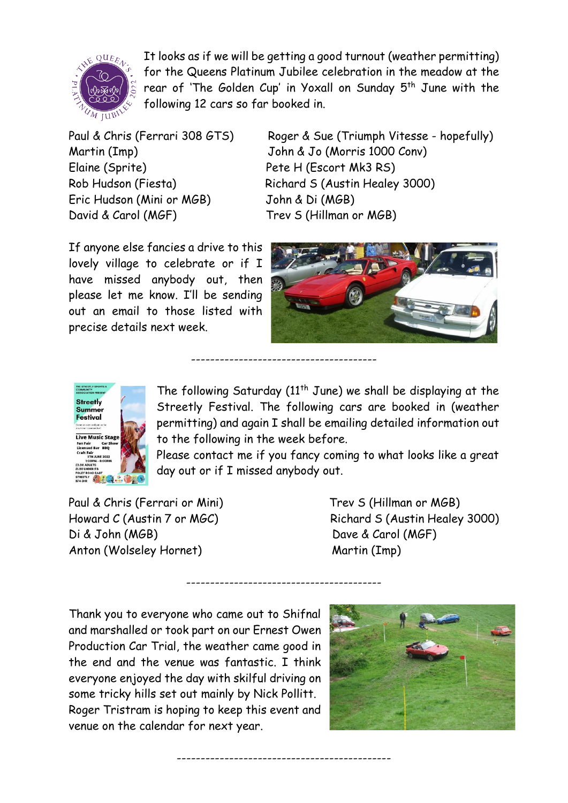

It looks as if we will be getting a good turnout (weather permitting) for the Queens Platinum Jubilee celebration in the meadow at the rear of 'The Golden Cup' in Yoxall on Sunday 5<sup>th</sup> June with the following 12 cars so far booked in.

Martin (Imp) John & Jo (Morris 1000 Conv) Elaine (Sprite) Pete H (Escort Mk3 RS) Eric Hudson (Mini or MGB) John & Di (MGB) David & Carol (MGF) Trev S (Hillman or MGB)

Paul & Chris (Ferrari 308 GTS) Roger & Sue (Triumph Vitesse - hopefully) Rob Hudson (Fiesta) Richard S (Austin Healey 3000)

If anyone else fancies a drive to this lovely village to celebrate or if I have missed anybody out, then please let me know. I'll be sending out an email to those listed with precise details next week.





The following Saturday ( $11<sup>th</sup>$  June) we shall be displaying at the Streetly Festival. The following cars are booked in (weather permitting) and again I shall be emailing detailed information out to the following in the week before.

---------------------------------------

-----------------------------------------

---------------------------------------------

Please contact me if you fancy coming to what looks like a great day out or if I missed anybody out.

Paul & Chris (Ferrari or Mini) Trev S (Hillman or MGB) Di & John (MGB) Dave & Carol (MGF) Anton (Wolseley Hornet) Martin (Imp)

Howard C (Austin 7 or MGC) Richard S (Austin Healey 3000)

Thank you to everyone who came out to Shifnal and marshalled or took part on our Ernest Owen Production Car Trial, the weather came good in the end and the venue was fantastic. I think everyone enjoyed the day with skilful driving on some tricky hills set out mainly by Nick Pollitt. Roger Tristram is hoping to keep this event and venue on the calendar for next year.

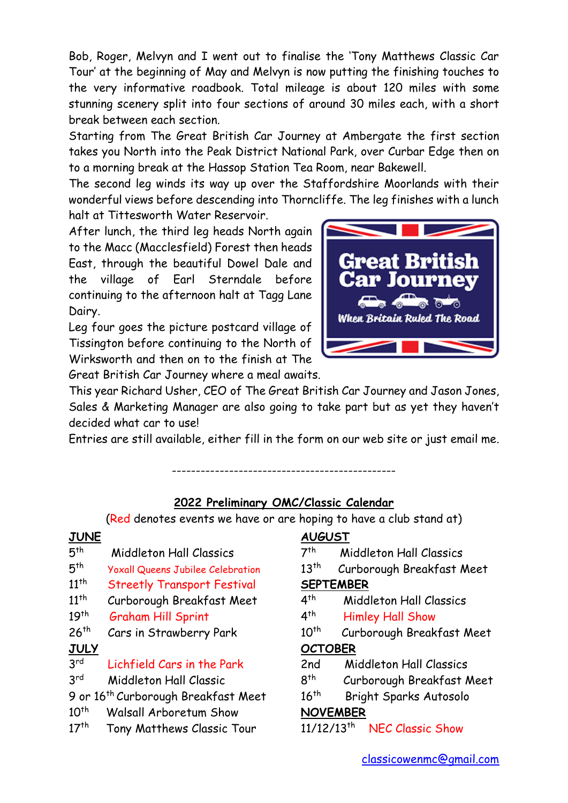Bob, Roger, Melvyn and I went out to finalise the 'Tony Matthews Classic Car Tour' at the beginning of May and Melvyn is now putting the finishing touches to the very informative roadbook. Total mileage is about 120 miles with some stunning scenery split into four sections of around 30 miles each, with a short break between each section.

Starting from The Great British Car Journey at Ambergate the first section takes you North into the Peak District National Park, over Curbar Edge then on to a morning break at the Hassop Station Tea Room, near Bakewell.

The second leg winds its way up over the Staffordshire Moorlands with their wonderful views before descending into Thorncliffe. The leg finishes with a lunch halt at Tittesworth Water Reservoir.

After lunch, the third leg heads North again to the Macc (Macclesfield) Forest then heads East, through the beautiful Dowel Dale and the village of Earl Sterndale before continuing to the afternoon halt at Tagg Lane Dairy.

Leg four goes the picture postcard village of Tissington before continuing to the North of Wirksworth and then on to the finish at The Great British Car Journey where a meal awaits.



This year Richard Usher, CEO of The Great British Car Journey and Jason Jones, Sales & Marketing Manager are also going to take part but as yet they haven't decided what car to use!

Entries are still available, either fill in the form on our web site or just email me.

# -----------------------------------------------

#### **2022 Preliminary OMC/Classic Calendar**

(Red denotes events we have or are hoping to have a club stand at)

#### **JUNE**

- $5<sup>th</sup>$ Middleton Hall Classics
- $5<sup>th</sup>$ Yoxall Queens Jubilee Celebration
- 11th Streetly Transport Festival
- $11<sup>th</sup>$ Curborough Breakfast Meet
- $19<sup>th</sup>$ Graham Hill Sprint
- $26<sup>th</sup>$ Cars in Strawberry Park

## **JULY**

- 3 rd Lichfield Cars in the Park
- 3 rd Middleton Hall Classic

9 or 16<sup>th</sup> Curborough Breakfast Meet

- $10^{th}$ Walsall Arboretum Show
- $17<sup>th</sup>$ Tony Matthews Classic Tour

## **AUGUST**

- $7<sup>th</sup>$ Middleton Hall Classics
- $13^{th}$ Curborough Breakfast Meet

## **SEPTEMBER**

- $4<sup>th</sup>$ Middleton Hall Classics
- $4<sup>th</sup>$ Himley Hall Show
- $10^{th}$ Curborough Breakfast Meet

## **OCTOBER**

- 2nd Middleton Hall Classics
- $8<sup>th</sup>$ Curborough Breakfast Meet
- $16^{th}$ Bright Sparks Autosolo

## **NOVEMBER**

11/12/13<sup>th</sup> NEC Classic Show